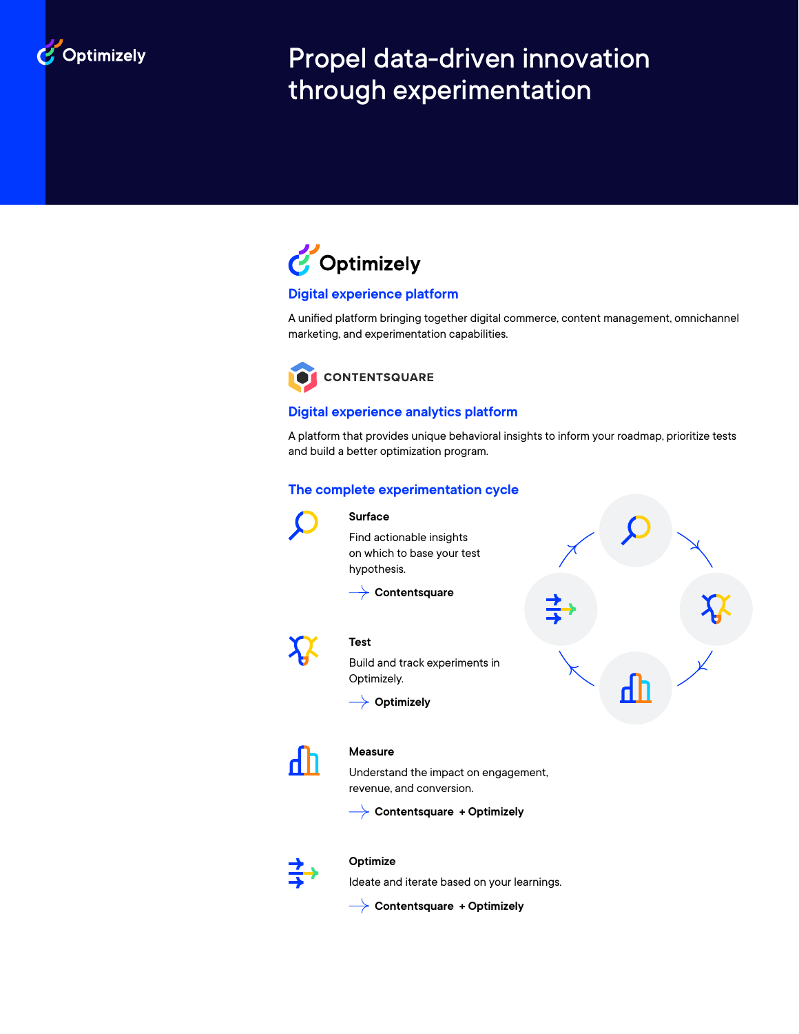

# Propel data-driven innovation through experimentation



# **Digital experience platform**

A unified platform bringing together digital commerce, content management, omnichannel marketing, and experimentation capabilities.



# **Digital experience analytics platform**

A platform that provides unique behavioral insights to inform your roadmap, prioritize tests and build a better optimization program.

# **The complete experimentation cycle**



### **Surface**

Find actionable insights on which to base your test hypothesis.

**Contentsquare**



# **Test**

Build and track experiments in Optimizely.

**Optimizely**





# **Measure**

Understand the impact on engagement, revenue, and conversion.

**Contentsquare + Optimizely**



# **Optimize**

Ideate and iterate based on your learnings.

**Contentsquare + Optimizely**